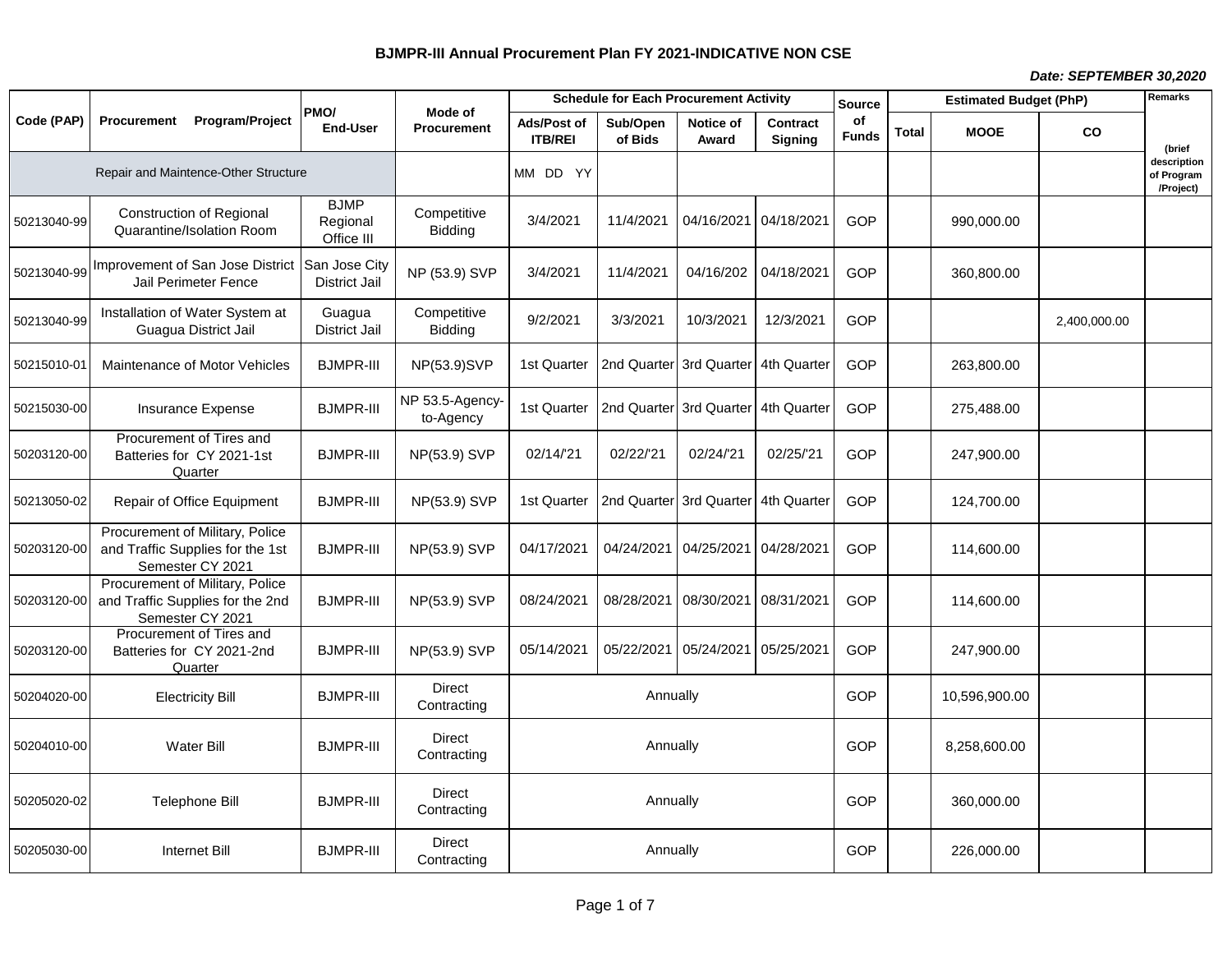## *Date: SEPTEMBER 30,2020*

|             |             |                                                                                         | PMO/                                  | Mode of                      | <b>Schedule for Each Procurement Activity</b> |                                     |                                  |                                   | <b>Source</b>      | <b>Estimated Budget (PhP)</b> |               |              | Remarks                                |
|-------------|-------------|-----------------------------------------------------------------------------------------|---------------------------------------|------------------------------|-----------------------------------------------|-------------------------------------|----------------------------------|-----------------------------------|--------------------|-------------------------------|---------------|--------------|----------------------------------------|
| Code (PAP)  | Procurement | Program/Project                                                                         | <b>End-User</b>                       | <b>Procurement</b>           | Ads/Post of<br><b>ITB/REI</b>                 | Sub/Open<br>of Bids                 | Notice of<br>Award               | <b>Contract</b><br><b>Signing</b> | оf<br><b>Funds</b> | <b>Total</b>                  | <b>MOOE</b>   | CO           | (brief                                 |
|             |             | Repair and Maintence-Other Structure                                                    |                                       |                              | MM DD YY                                      |                                     |                                  |                                   |                    |                               |               |              | description<br>of Program<br>/Project) |
| 50213040-99 |             | <b>Construction of Regional</b><br>Quarantine/Isolation Room                            | <b>BJMP</b><br>Regional<br>Office III | Competitive<br>Bidding       | 3/4/2021                                      | 11/4/2021                           | 04/16/2021                       | 04/18/2021                        | <b>GOP</b>         |                               | 990.000.00    |              |                                        |
| 50213040-99 |             | Improvement of San Jose District<br><b>Jail Perimeter Fence</b>                         | San Jose City<br><b>District Jail</b> | NP (53.9) SVP                | 3/4/2021                                      | 11/4/2021                           | 04/16/202                        | 04/18/2021                        | <b>GOP</b>         |                               | 360,800.00    |              |                                        |
| 50213040-99 |             | Installation of Water System at<br>Guagua District Jail                                 | Guagua<br><b>District Jail</b>        | Competitive<br>Bidding       | 9/2/2021                                      | 3/3/2021                            | 10/3/2021                        | 12/3/2021                         | <b>GOP</b>         |                               |               | 2,400,000.00 |                                        |
| 50215010-01 |             | Maintenance of Motor Vehicles                                                           | <b>BJMPR-III</b>                      | NP(53.9)SVP                  | 1st Quarter                                   |                                     | 2nd Quarter 3rd Quarter          | 4th Quarter                       | <b>GOP</b>         |                               | 263,800.00    |              |                                        |
| 50215030-00 |             | Insurance Expense                                                                       | <b>BJMPR-III</b>                      | NP 53.5-Agency-<br>to-Agency | 1st Quarter                                   | 2nd Quarter 3rd Quarter 4th Quarter |                                  |                                   | <b>GOP</b>         |                               | 275,488.00    |              |                                        |
| 50203120-00 |             | Procurement of Tires and<br>Batteries for CY 2021-1st<br>Quarter                        | <b>BJMPR-III</b>                      | NP(53.9) SVP                 | 02/14/21                                      | 02/22/21                            | 02/24/21                         | 02/25/'21                         | <b>GOP</b>         |                               | 247,900.00    |              |                                        |
| 50213050-02 |             | Repair of Office Equipment                                                              | <b>BJMPR-III</b>                      | NP(53.9) SVP                 | 1st Quarter                                   | 2nd Quarter 3rd Quarter 4th Quarter |                                  |                                   | GOP                |                               | 124,700.00    |              |                                        |
| 50203120-00 |             | Procurement of Military, Police<br>and Traffic Supplies for the 1st<br>Semester CY 2021 | <b>BJMPR-III</b>                      | NP(53.9) SVP                 | 04/17/2021                                    | 04/24/2021                          | 04/25/2021                       | 04/28/2021                        | GOP                |                               | 114,600.00    |              |                                        |
| 50203120-00 |             | Procurement of Military, Police<br>and Traffic Supplies for the 2nd<br>Semester CY 2021 | <b>BJMPR-III</b>                      | NP(53.9) SVP                 | 08/24/2021                                    | 08/28/2021                          | 08/30/2021                       | 08/31/2021                        | GOP                |                               | 114,600.00    |              |                                        |
| 50203120-00 |             | Procurement of Tires and<br>Batteries for CY 2021-2nd<br>Quarter                        | <b>BJMPR-III</b>                      | NP(53.9) SVP                 | 05/14/2021                                    |                                     | 05/22/2021 05/24/2021 05/25/2021 |                                   | <b>GOP</b>         |                               | 247,900.00    |              |                                        |
| 50204020-00 |             | <b>Electricity Bill</b>                                                                 | <b>BJMPR-III</b>                      | <b>Direct</b><br>Contracting |                                               | Annually                            |                                  |                                   | <b>GOP</b>         |                               | 10,596,900.00 |              |                                        |
| 50204010-00 |             | <b>Water Bill</b>                                                                       | <b>BJMPR-III</b>                      | <b>Direct</b><br>Contracting | Annually                                      |                                     |                                  |                                   |                    |                               | 8,258,600.00  |              |                                        |
| 50205020-02 |             | Telephone Bill                                                                          | <b>BJMPR-III</b>                      | <b>Direct</b><br>Contracting | Annually                                      |                                     |                                  |                                   |                    |                               | 360,000.00    |              |                                        |
| 50205030-00 |             | <b>Internet Bill</b>                                                                    | <b>BJMPR-III</b>                      | <b>Direct</b><br>Contracting |                                               | Annually                            |                                  |                                   | <b>GOP</b>         |                               | 226,000.00    |              |                                        |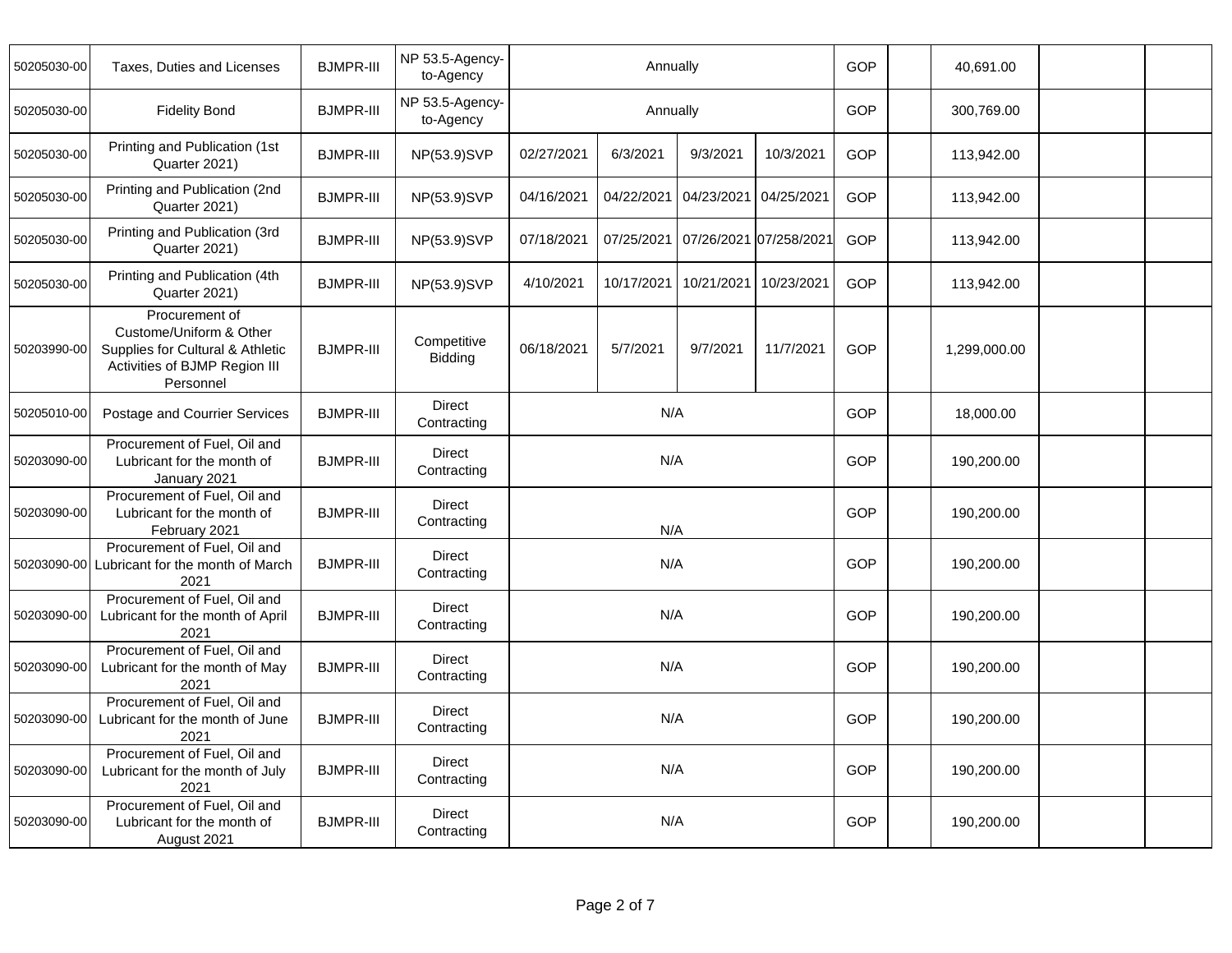| 50205030-00 | Taxes, Duties and Licenses                                                                                                  | <b>BJMPR-III</b> | NP 53.5-Agency-<br>to-Agency | Annually   |            |            |                        |            | 40,691.00    |  |
|-------------|-----------------------------------------------------------------------------------------------------------------------------|------------------|------------------------------|------------|------------|------------|------------------------|------------|--------------|--|
| 50205030-00 | <b>Fidelity Bond</b>                                                                                                        | <b>BJMPR-III</b> | NP 53.5-Agency-<br>to-Agency | Annually   |            |            |                        |            | 300,769.00   |  |
| 50205030-00 | Printing and Publication (1st<br>Quarter 2021)                                                                              | <b>BJMPR-III</b> | NP(53.9)SVP                  | 02/27/2021 | 6/3/2021   | 9/3/2021   | 10/3/2021              | <b>GOP</b> | 113,942.00   |  |
| 50205030-00 | Printing and Publication (2nd<br>Quarter 2021)                                                                              | <b>BJMPR-III</b> | NP(53.9)SVP                  | 04/16/2021 | 04/22/2021 | 04/23/2021 | 04/25/2021             | <b>GOP</b> | 113,942.00   |  |
| 50205030-00 | Printing and Publication (3rd<br>Quarter 2021)                                                                              | <b>BJMPR-III</b> | NP(53.9)SVP                  | 07/18/2021 | 07/25/2021 |            | 07/26/2021 07/258/2021 | <b>GOP</b> | 113,942.00   |  |
| 50205030-00 | Printing and Publication (4th<br>Quarter 2021)                                                                              | <b>BJMPR-III</b> | NP(53.9)SVP                  | 4/10/2021  | 10/17/2021 | 10/21/2021 | 10/23/2021             | <b>GOP</b> | 113,942.00   |  |
| 50203990-00 | Procurement of<br>Custome/Uniform & Other<br>Supplies for Cultural & Athletic<br>Activities of BJMP Region III<br>Personnel | <b>BJMPR-III</b> | Competitive<br>Bidding       | 06/18/2021 | 5/7/2021   | 9/7/2021   | 11/7/2021              | GOP        | 1,299,000.00 |  |
| 50205010-00 | Postage and Courrier Services                                                                                               | <b>BJMPR-III</b> | Direct<br>Contracting        | N/A        |            |            |                        |            | 18,000.00    |  |
| 50203090-00 | Procurement of Fuel, Oil and<br>Lubricant for the month of<br>January 2021                                                  | <b>BJMPR-III</b> | <b>Direct</b><br>Contracting | N/A        |            |            |                        |            | 190,200.00   |  |
| 50203090-00 | Procurement of Fuel, Oil and<br>Lubricant for the month of<br>February 2021                                                 | <b>BJMPR-III</b> | <b>Direct</b><br>Contracting | N/A        |            |            |                        |            | 190,200.00   |  |
| 50203090-00 | Procurement of Fuel, Oil and<br>Lubricant for the month of March<br>2021                                                    | <b>BJMPR-III</b> | <b>Direct</b><br>Contracting |            | N/A        |            |                        | GOP        | 190,200.00   |  |
| 50203090-00 | Procurement of Fuel, Oil and<br>Lubricant for the month of April<br>2021                                                    | <b>BJMPR-III</b> | <b>Direct</b><br>Contracting |            | N/A        |            |                        | <b>GOP</b> | 190,200.00   |  |
| 50203090-00 | Procurement of Fuel, Oil and<br>Lubricant for the month of May<br>2021                                                      | <b>BJMPR-III</b> | Direct<br>Contracting        |            | N/A        |            |                        | GOP        | 190,200.00   |  |
| 50203090-00 | Procurement of Fuel, Oil and<br>Lubricant for the month of June<br>2021                                                     | <b>BJMPR-III</b> | Direct<br>Contracting        | N/A        |            |            |                        |            | 190,200.00   |  |
| 50203090-00 | Procurement of Fuel, Oil and<br>Lubricant for the month of July<br>2021                                                     | <b>BJMPR-III</b> | <b>Direct</b><br>Contracting | N/A        |            |            |                        |            | 190,200.00   |  |
| 50203090-00 | Procurement of Fuel, Oil and<br>Lubricant for the month of<br>August 2021                                                   | <b>BJMPR-III</b> | <b>Direct</b><br>Contracting | N/A        |            |            |                        |            | 190,200.00   |  |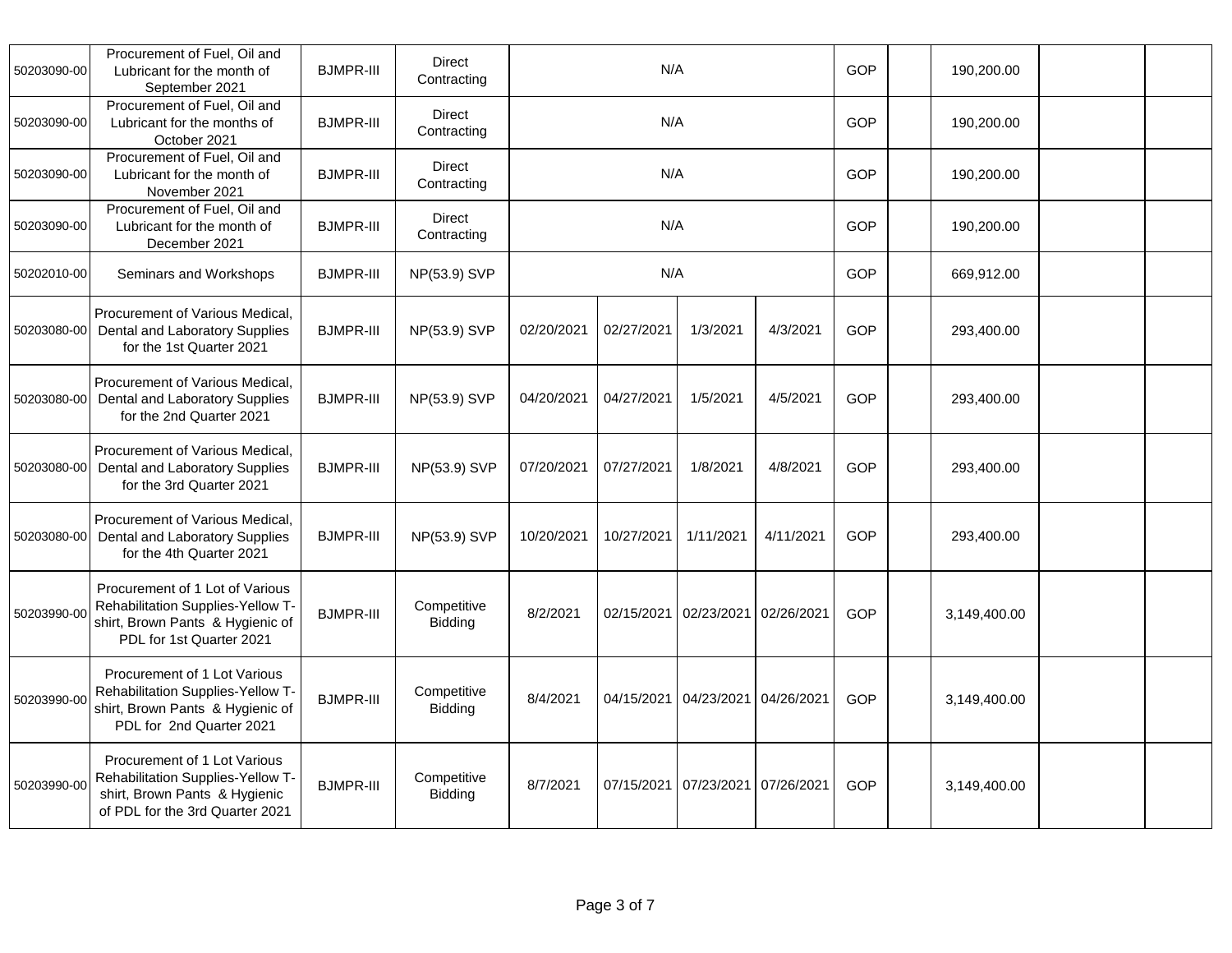| 50203090-00 | Procurement of Fuel, Oil and<br>Lubricant for the month of<br>September 2021                                                          | <b>BJMPR-III</b> | Direct<br>Contracting        |            | N/A        |            |            | GOP        | 190,200.00   |  |
|-------------|---------------------------------------------------------------------------------------------------------------------------------------|------------------|------------------------------|------------|------------|------------|------------|------------|--------------|--|
| 50203090-00 | Procurement of Fuel, Oil and<br>Lubricant for the months of<br>October 2021                                                           | <b>BJMPR-III</b> | <b>Direct</b><br>Contracting | N/A        |            |            |            |            | 190,200.00   |  |
| 50203090-00 | Procurement of Fuel, Oil and<br>Lubricant for the month of<br>November 2021                                                           | <b>BJMPR-III</b> | <b>Direct</b><br>Contracting |            | N/A        |            |            | GOP        | 190,200.00   |  |
| 50203090-00 | Procurement of Fuel, Oil and<br>Lubricant for the month of<br>December 2021                                                           | <b>BJMPR-III</b> | <b>Direct</b><br>Contracting | N/A        |            |            |            |            | 190,200.00   |  |
| 50202010-00 | Seminars and Workshops                                                                                                                | <b>BJMPR-III</b> | NP(53.9) SVP                 | N/A        |            |            |            |            | 669,912.00   |  |
| 50203080-00 | Procurement of Various Medical,<br>Dental and Laboratory Supplies<br>for the 1st Quarter 2021                                         | <b>BJMPR-III</b> | NP(53.9) SVP                 | 02/20/2021 | 02/27/2021 | 1/3/2021   | 4/3/2021   | GOP        | 293,400.00   |  |
| 50203080-00 | Procurement of Various Medical,<br>Dental and Laboratory Supplies<br>for the 2nd Quarter 2021                                         | <b>BJMPR-III</b> | NP(53.9) SVP                 | 04/20/2021 | 04/27/2021 | 1/5/2021   | 4/5/2021   | GOP        | 293,400.00   |  |
| 50203080-00 | Procurement of Various Medical,<br>Dental and Laboratory Supplies<br>for the 3rd Quarter 2021                                         | <b>BJMPR-III</b> | NP(53.9) SVP                 | 07/20/2021 | 07/27/2021 | 1/8/2021   | 4/8/2021   | <b>GOP</b> | 293,400.00   |  |
| 50203080-00 | Procurement of Various Medical,<br>Dental and Laboratory Supplies<br>for the 4th Quarter 2021                                         | <b>BJMPR-III</b> | NP(53.9) SVP                 | 10/20/2021 | 10/27/2021 | 1/11/2021  | 4/11/2021  | GOP        | 293,400.00   |  |
| 50203990-00 | Procurement of 1 Lot of Various<br>Rehabilitation Supplies-Yellow T-<br>shirt, Brown Pants & Hygienic of<br>PDL for 1st Quarter 2021  | <b>BJMPR-III</b> | Competitive<br>Bidding       | 8/2/2021   | 02/15/2021 | 02/23/2021 | 02/26/2021 | <b>GOP</b> | 3,149,400.00 |  |
| 50203990-00 | Procurement of 1 Lot Various<br>Rehabilitation Supplies-Yellow T-<br>shirt, Brown Pants & Hygienic of<br>PDL for 2nd Quarter 2021     | <b>BJMPR-III</b> | Competitive<br>Bidding       | 8/4/2021   | 04/15/2021 | 04/23/2021 | 04/26/2021 | <b>GOP</b> | 3,149,400.00 |  |
| 50203990-00 | Procurement of 1 Lot Various<br>Rehabilitation Supplies-Yellow T-<br>shirt, Brown Pants & Hygienic<br>of PDL for the 3rd Quarter 2021 | <b>BJMPR-III</b> | Competitive<br>Bidding       | 8/7/2021   | 07/15/2021 | 07/23/2021 | 07/26/2021 | GOP        | 3,149,400.00 |  |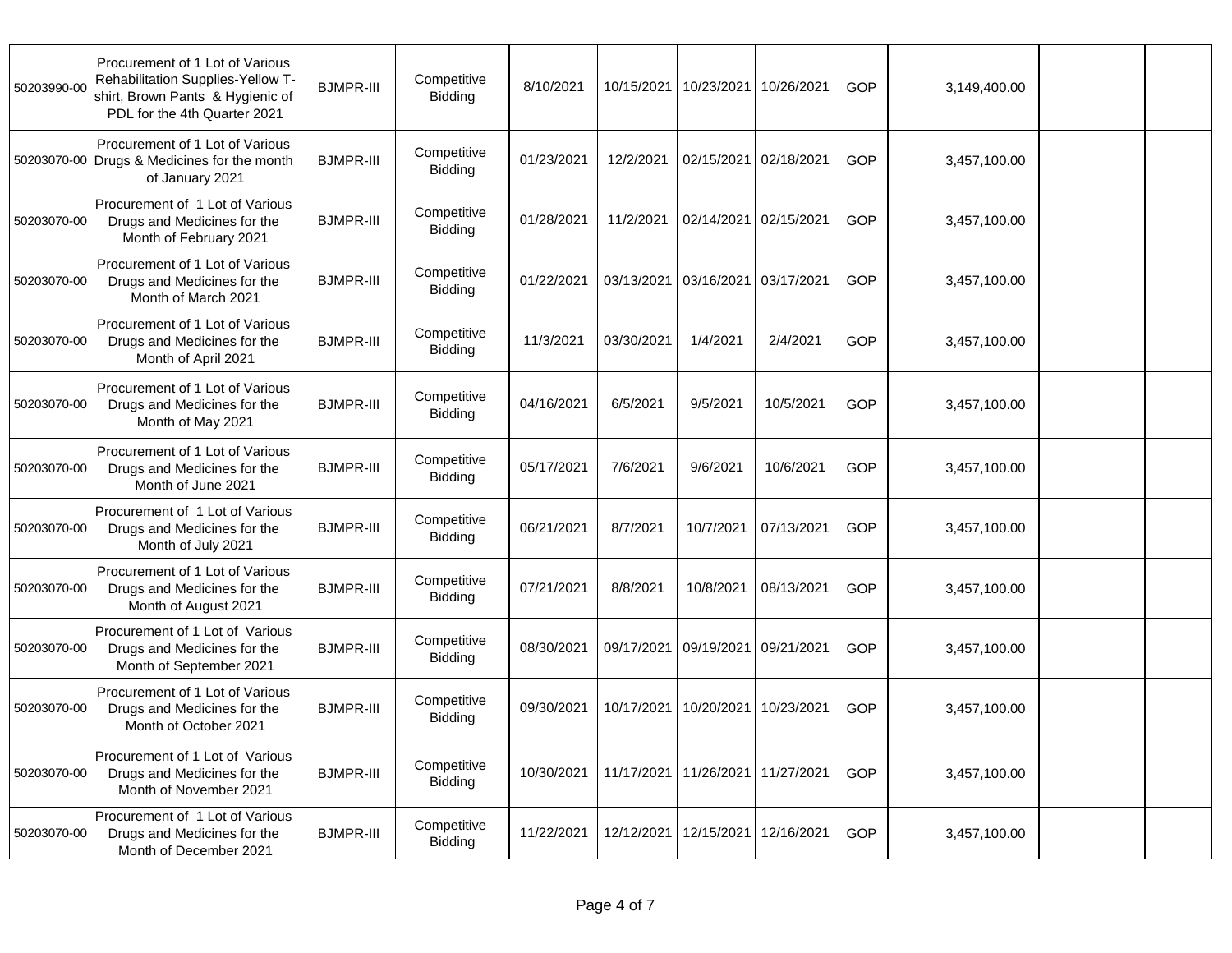| 50203990-00 | Procurement of 1 Lot of Various<br>Rehabilitation Supplies-Yellow T-<br>shirt, Brown Pants & Hygienic of<br>PDL for the 4th Quarter 2021 | <b>BJMPR-III</b> | Competitive<br>Bidding        | 8/10/2021  | 10/15/2021            | 10/23/2021 | 10/26/2021 | <b>GOP</b> | 3,149,400.00 |  |
|-------------|------------------------------------------------------------------------------------------------------------------------------------------|------------------|-------------------------------|------------|-----------------------|------------|------------|------------|--------------|--|
| 50203070-00 | Procurement of 1 Lot of Various<br>Drugs & Medicines for the month<br>of January 2021                                                    | <b>BJMPR-III</b> | Competitive<br>Bidding        | 01/23/2021 | 12/2/2021             | 02/15/2021 | 02/18/2021 | <b>GOP</b> | 3,457,100.00 |  |
| 50203070-00 | Procurement of 1 Lot of Various<br>Drugs and Medicines for the<br>Month of February 2021                                                 | <b>BJMPR-III</b> | Competitive<br><b>Bidding</b> | 01/28/2021 | 11/2/2021             | 02/14/2021 | 02/15/2021 | GOP        | 3,457,100.00 |  |
| 50203070-00 | Procurement of 1 Lot of Various<br>Drugs and Medicines for the<br>Month of March 2021                                                    | <b>BJMPR-III</b> | Competitive<br>Bidding        | 01/22/2021 | 03/13/2021            | 03/16/2021 | 03/17/2021 | GOP        | 3,457,100.00 |  |
| 50203070-00 | Procurement of 1 Lot of Various<br>Drugs and Medicines for the<br>Month of April 2021                                                    | <b>BJMPR-III</b> | Competitive<br><b>Bidding</b> | 11/3/2021  | 03/30/2021            | 1/4/2021   | 2/4/2021   | GOP        | 3,457,100.00 |  |
| 50203070-00 | Procurement of 1 Lot of Various<br>Drugs and Medicines for the<br>Month of May 2021                                                      | <b>BJMPR-III</b> | Competitive<br>Bidding        | 04/16/2021 | 6/5/2021              | 9/5/2021   | 10/5/2021  | GOP        | 3,457,100.00 |  |
| 50203070-00 | Procurement of 1 Lot of Various<br>Drugs and Medicines for the<br>Month of June 2021                                                     | <b>BJMPR-III</b> | Competitive<br><b>Bidding</b> | 05/17/2021 | 7/6/2021              | 9/6/2021   | 10/6/2021  | GOP        | 3,457,100.00 |  |
| 50203070-00 | Procurement of 1 Lot of Various<br>Drugs and Medicines for the<br>Month of July 2021                                                     | <b>BJMPR-III</b> | Competitive<br><b>Bidding</b> | 06/21/2021 | 8/7/2021              | 10/7/2021  | 07/13/2021 | GOP        | 3,457,100.00 |  |
| 50203070-00 | Procurement of 1 Lot of Various<br>Drugs and Medicines for the<br>Month of August 2021                                                   | <b>BJMPR-III</b> | Competitive<br><b>Bidding</b> | 07/21/2021 | 8/8/2021              | 10/8/2021  | 08/13/2021 | <b>GOP</b> | 3,457,100.00 |  |
| 50203070-00 | Procurement of 1 Lot of Various<br>Drugs and Medicines for the<br>Month of September 2021                                                | <b>BJMPR-III</b> | Competitive<br><b>Bidding</b> | 08/30/2021 | 09/17/2021            | 09/19/2021 | 09/21/2021 | <b>GOP</b> | 3,457,100.00 |  |
| 50203070-00 | Procurement of 1 Lot of Various<br>Drugs and Medicines for the<br>Month of October 2021                                                  | <b>BJMPR-III</b> | Competitive<br>Bidding        | 09/30/2021 | 10/17/2021            | 10/20/2021 | 10/23/2021 | GOP        | 3,457,100.00 |  |
| 50203070-00 | Procurement of 1 Lot of Various<br>Drugs and Medicines for the<br>Month of November 2021                                                 | <b>BJMPR-III</b> | Competitive<br>Bidding        | 10/30/2021 | 11/17/2021 11/26/2021 |            | 11/27/2021 | GOP        | 3,457,100.00 |  |
| 50203070-00 | Procurement of 1 Lot of Various<br>Drugs and Medicines for the<br>Month of December 2021                                                 | <b>BJMPR-III</b> | Competitive<br>Bidding        | 11/22/2021 | 12/12/2021            | 12/15/2021 | 12/16/2021 | GOP        | 3,457,100.00 |  |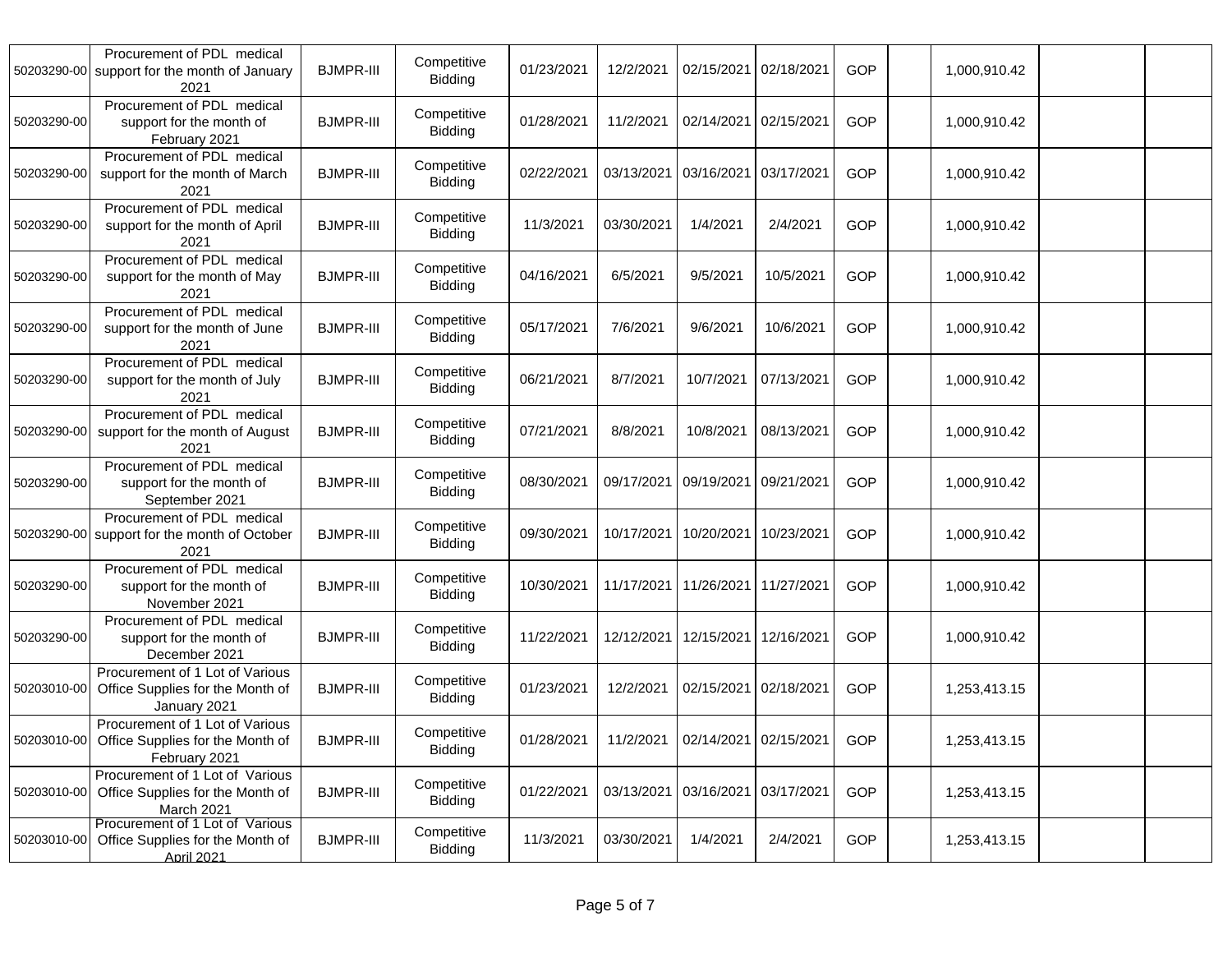| 50203290-00 | Procurement of PDL medical<br>support for the month of January<br>2021                   | <b>BJMPR-III</b> | Competitive<br><b>Bidding</b> | 01/23/2021 | 12/2/2021             | 02/15/2021 | 02/18/2021                      | <b>GOP</b> | 1,000,910.42 |  |
|-------------|------------------------------------------------------------------------------------------|------------------|-------------------------------|------------|-----------------------|------------|---------------------------------|------------|--------------|--|
| 50203290-00 | Procurement of PDL medical<br>support for the month of<br>February 2021                  | <b>BJMPR-III</b> | Competitive<br><b>Bidding</b> | 01/28/2021 | 11/2/2021             | 02/14/2021 | 02/15/2021                      | GOP        | 1,000,910.42 |  |
| 50203290-00 | Procurement of PDL medical<br>support for the month of March<br>2021                     | <b>BJMPR-III</b> | Competitive<br><b>Bidding</b> | 02/22/2021 | 03/13/2021            | 03/16/2021 | 03/17/2021                      | GOP        | 1,000,910.42 |  |
| 50203290-00 | Procurement of PDL medical<br>support for the month of April<br>2021                     | <b>BJMPR-III</b> | Competitive<br><b>Bidding</b> | 11/3/2021  | 03/30/2021            | 1/4/2021   | 2/4/2021                        | GOP        | 1,000,910.42 |  |
| 50203290-00 | Procurement of PDL medical<br>support for the month of May<br>2021                       | <b>BJMPR-III</b> | Competitive<br><b>Bidding</b> | 04/16/2021 | 6/5/2021              | 9/5/2021   | 10/5/2021                       | <b>GOP</b> | 1,000,910.42 |  |
| 50203290-00 | Procurement of PDL medical<br>support for the month of June<br>2021                      | <b>BJMPR-III</b> | Competitive<br><b>Bidding</b> | 05/17/2021 | 7/6/2021              | 9/6/2021   | 10/6/2021                       | GOP        | 1,000,910.42 |  |
| 50203290-00 | Procurement of PDL medical<br>support for the month of July<br>2021                      | <b>BJMPR-III</b> | Competitive<br><b>Bidding</b> | 06/21/2021 | 8/7/2021              | 10/7/2021  | 07/13/2021                      | <b>GOP</b> | 1,000,910.42 |  |
| 50203290-00 | Procurement of PDL medical<br>support for the month of August<br>2021                    | <b>BJMPR-III</b> | Competitive<br><b>Bidding</b> | 07/21/2021 | 8/8/2021              | 10/8/2021  | 08/13/2021                      | GOP        | 1,000,910.42 |  |
| 50203290-00 | Procurement of PDL medical<br>support for the month of<br>September 2021                 | <b>BJMPR-III</b> | Competitive<br><b>Bidding</b> | 08/30/2021 | 09/17/2021            | 09/19/2021 | 09/21/2021                      | GOP        | 1,000,910.42 |  |
| 50203290-00 | Procurement of PDL medical<br>support for the month of October<br>2021                   | <b>BJMPR-III</b> | Competitive<br><b>Bidding</b> | 09/30/2021 | 10/17/2021            | 10/20/2021 | 10/23/2021                      | GOP        | 1,000,910.42 |  |
| 50203290-00 | Procurement of PDL medical<br>support for the month of<br>November 2021                  | <b>BJMPR-III</b> | Competitive<br><b>Bidding</b> | 10/30/2021 | 11/17/2021 11/26/2021 |            | 11/27/2021                      | GOP        | 1,000,910.42 |  |
| 50203290-00 | Procurement of PDL medical<br>support for the month of<br>December 2021                  | <b>BJMPR-III</b> | Competitive<br><b>Bidding</b> | 11/22/2021 | 12/12/2021            | 12/15/2021 | 12/16/2021                      | GOP        | 1,000,910.42 |  |
| 50203010-00 | Procurement of 1 Lot of Various<br>Office Supplies for the Month of<br>January 2021      | <b>BJMPR-III</b> | Competitive<br><b>Bidding</b> | 01/23/2021 | 12/2/2021             | 02/15/2021 | 02/18/2021                      | GOP        | 1,253,413.15 |  |
| 50203010-00 | Procurement of 1 Lot of Various<br>Office Supplies for the Month of<br>February 2021     | <b>BJMPR-III</b> | Competitive<br><b>Bidding</b> | 01/28/2021 |                       |            | 11/2/2021 02/14/2021 02/15/2021 | GOP        | 1,253,413.15 |  |
| 50203010-00 | Procurement of 1 Lot of Various<br>Office Supplies for the Month of<br><b>March 2021</b> | <b>BJMPR-III</b> | Competitive<br>Bidding        | 01/22/2021 | 03/13/2021 03/16/2021 |            | 03/17/2021                      | GOP        | 1,253,413.15 |  |
| 50203010-00 | Procurement of 1 Lot of Various<br>Office Supplies for the Month of<br>April 2021        | <b>BJMPR-III</b> | Competitive<br>Bidding        | 11/3/2021  | 03/30/2021            | 1/4/2021   | 2/4/2021                        | GOP        | 1,253,413.15 |  |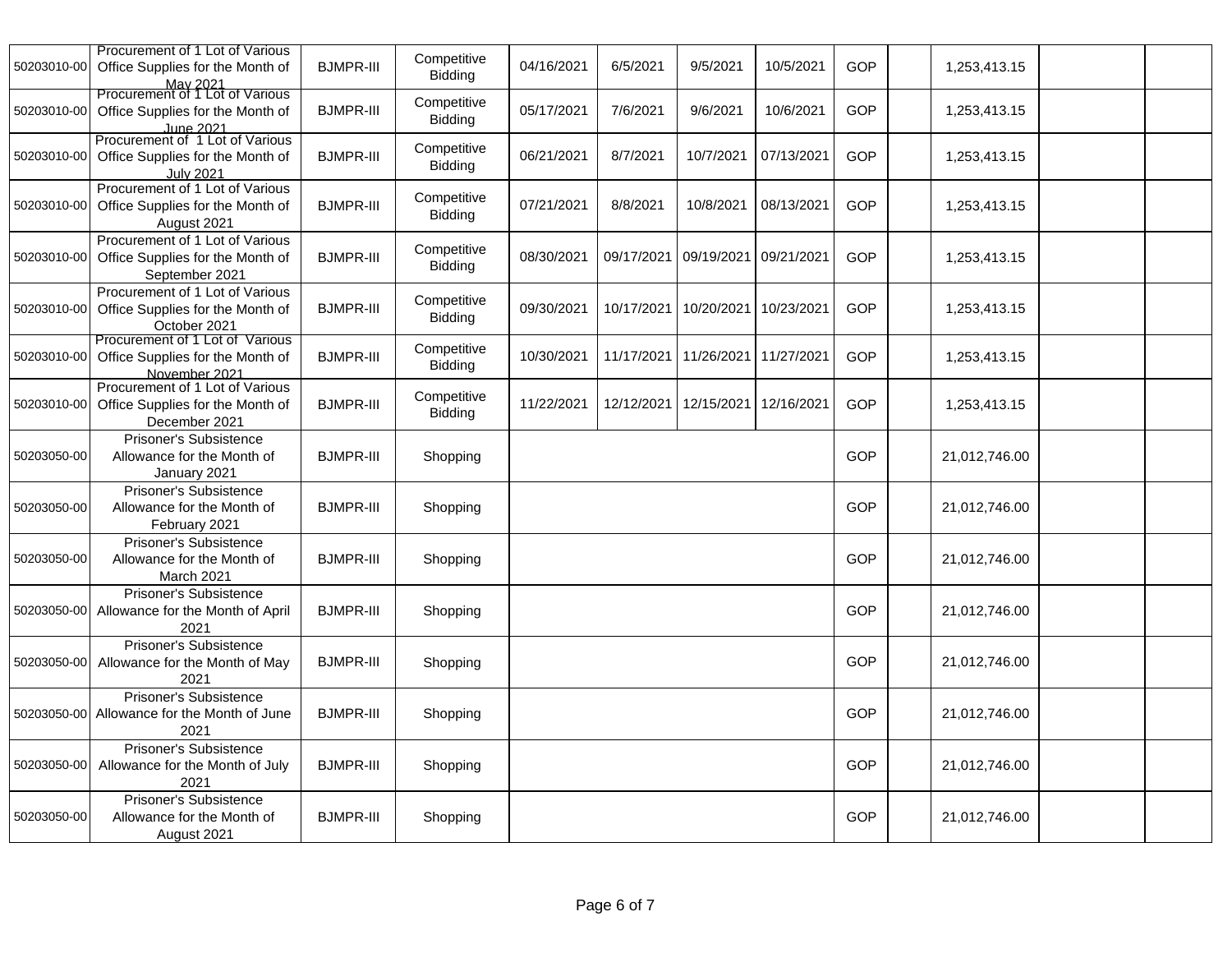| 50203010-00 | Procurement of 1 Lot of Various<br>Office Supplies for the Month of<br>May 2021         | <b>BJMPR-III</b> | Competitive<br><b>Bidding</b> | 04/16/2021 | 6/5/2021              | 9/5/2021   | 10/5/2021  | <b>GOP</b> | 1,253,413.15  |  |
|-------------|-----------------------------------------------------------------------------------------|------------------|-------------------------------|------------|-----------------------|------------|------------|------------|---------------|--|
| 50203010-00 | Procurement of 1 Lot of Various<br>Office Supplies for the Month of<br>June 2021        | <b>BJMPR-III</b> | Competitive<br>Bidding        | 05/17/2021 | 7/6/2021              | 9/6/2021   | 10/6/2021  | GOP        | 1,253,413.15  |  |
| 50203010-00 | Procurement of 1 Lot of Various<br>Office Supplies for the Month of<br><b>July 2021</b> | <b>BJMPR-III</b> | Competitive<br>Bidding        | 06/21/2021 | 8/7/2021              | 10/7/2021  | 07/13/2021 | GOP        | 1,253,413.15  |  |
| 50203010-00 | Procurement of 1 Lot of Various<br>Office Supplies for the Month of<br>August 2021      | <b>BJMPR-III</b> | Competitive<br><b>Bidding</b> | 07/21/2021 | 8/8/2021              | 10/8/2021  | 08/13/2021 | GOP        | 1,253,413.15  |  |
| 50203010-00 | Procurement of 1 Lot of Various<br>Office Supplies for the Month of<br>September 2021   | <b>BJMPR-III</b> | Competitive<br>Bidding        | 08/30/2021 | 09/17/2021            | 09/19/2021 | 09/21/2021 | <b>GOP</b> | 1,253,413.15  |  |
| 50203010-00 | Procurement of 1 Lot of Various<br>Office Supplies for the Month of<br>October 2021     | <b>BJMPR-III</b> | Competitive<br>Bidding        | 09/30/2021 | 10/17/2021            | 10/20/2021 | 10/23/2021 | GOP        | 1,253,413.15  |  |
| 50203010-00 | Procurement of 1 Lot of Various<br>Office Supplies for the Month of<br>November 2021    | <b>BJMPR-III</b> | Competitive<br><b>Bidding</b> | 10/30/2021 | 11/17/2021            | 11/26/2021 | 11/27/2021 | GOP        | 1,253,413.15  |  |
| 50203010-00 | Procurement of 1 Lot of Various<br>Office Supplies for the Month of<br>December 2021    | <b>BJMPR-III</b> | Competitive<br>Bidding        | 11/22/2021 | 12/12/2021 12/15/2021 |            | 12/16/2021 | <b>GOP</b> | 1,253,413.15  |  |
| 50203050-00 | Prisoner's Subsistence<br>Allowance for the Month of<br>January 2021                    | <b>BJMPR-III</b> | Shopping                      |            |                       |            |            | GOP        | 21,012,746.00 |  |
| 50203050-00 | <b>Prisoner's Subsistence</b><br>Allowance for the Month of<br>February 2021            | <b>BJMPR-III</b> | Shopping                      |            |                       |            |            | GOP        | 21,012,746.00 |  |
| 50203050-00 | Prisoner's Subsistence<br>Allowance for the Month of<br>March 2021                      | <b>BJMPR-III</b> | Shopping                      |            |                       |            |            | GOP        | 21,012,746.00 |  |
| 50203050-00 | Prisoner's Subsistence<br>Allowance for the Month of April<br>2021                      | <b>BJMPR-III</b> | Shopping                      |            |                       |            |            | <b>GOP</b> | 21,012,746.00 |  |
| 50203050-00 | Prisoner's Subsistence<br>Allowance for the Month of May<br>2021                        | <b>BJMPR-III</b> | Shopping                      |            |                       |            |            | <b>GOP</b> | 21,012,746.00 |  |
|             | Prisoner's Subsistence<br>50203050-00 Allowance for the Month of June<br>2021           | <b>BJMPR-III</b> | Shopping                      |            |                       |            |            | GOP        | 21,012,746.00 |  |
| 50203050-00 | Prisoner's Subsistence<br>Allowance for the Month of July<br>2021                       | <b>BJMPR-III</b> | Shopping                      |            |                       |            |            | GOP        | 21,012,746.00 |  |
| 50203050-00 | Prisoner's Subsistence<br>Allowance for the Month of<br>August 2021                     | <b>BJMPR-III</b> | Shopping                      |            |                       |            |            | <b>GOP</b> | 21,012,746.00 |  |